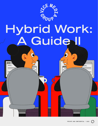

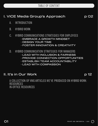

### I. VICE Media Group's Approach p 02

- A. INTRODUCTION
- B. HYBRID WORK

#### C. HYBRID COMMUNICATIONS STRATEGIES FOR EMPLOYEES

- · EMBRACE A GROWTH MINDSET
- · DESIGN YOUR TIME
- · FOSTER INNOVATION & CREATIVITY
- D. HYBRID COMMUNICATION STRATEGIES FOR MANAGERS
	- · LEAD WITH INCLUSION & FAIRNESS
	- · PROVIDE CONNECTION OPPORTUNITIES
	- · ESTABLISH TEAM ACCOUNTABILITY
	- · LEAD WITH COMPASSION

#### II. It's in Our Work  $\rho_1$  is a p  $\rho_2$

A COLLECTION OF VMG ARTICLES WE'VE PRODUCED ON HYBRID WORK: RESOURCES IN-OFFICE RESOURCES

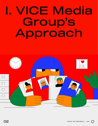# VICE Media Group's Approach

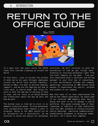### RETURN TO THE OFFICE GUIDE

May 2022



It's been over two years since the COVID cases first started cropping up around the world.

At this point, (just to scratch the surface of what we've all gone through) employees around the world have worked remotely, worked in-office, are back to working remotely (again!), and we are all figuring out how to truly work in hybrid mode. One thing for sure is that the new way of working is here to stay, and our focus is on being flexible and intentional about the way we work and how we work.

The bottom line is that we're still in an awkward transition phase. Turning workplaces into collaboration hubs remains a work in progress. Being in the office should not be an obligation but a destination. As we continue to build and adjust our workplace

practices, we will continue to push the boundaries of how we get things done. Creating an exciting workplace right from the start remains our top goal - from your first experience with a recruiter and hiring manager to your first day of onboarding, to your performance reviews and company gatherings. Everything at VMG should allow people to experience the spirit, purpose and promise of our company.

Now that many of us have experienced the hybrid and remote experience, we asked some of our internal VMG members what they're doing and plan to do to manage a hybrid workforce. This guide includes some of their responses in addition to some additional tips that offer guidance on running inclusive hybrid meetings, improving communication, establishing alignment on dispersed teams, and more. Let's build this together.

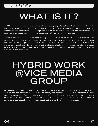## WHAT IS IT?

At VMG, we're reinventing the future of work every day. We believe that hybrid work is the new remote work, offering employees greater flexibility that generates more productivity, connection and creativity. This requires a culture of trust, empathy and empowerment. It also means managers must focus on outcomes, not just activity metrics.

A hybrid work model is a plan that incorporates a mixture of in-office and remote work in an employee's schedule. This model allows us to have more control over our work and work environment. It's important to note that there isn't a "one size fits all'' solution to a hybrid work model and that managers and employees should work together to plan and agree on a schedule and build team norms that create a shared purpose and deeper connections with and among team members.

### HYBRID WORK @VICE MEDIA GROUP

We believe that easing back into offices at a pace that feels right for your teams will help us rebuild connections, revitalize teams, and continue to build a workplace culture where everyone can feel and perform at their best. We are now requiring that our teams maintain a hybrid schedule (a minimum of two fixed days a week in the workplace) to increase cross-collaboration while still being empathetic to preferences.

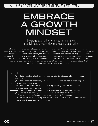### EMBRACE A GROWTH MINDSET

Leverage each other to increase innovation, creativity and productivity by engaging each other.

When in physical workplaces, it is much easier to "run" an idea past someone. With a dispersed workforce, being intentional about implementing a continuous listening strategy to learn what employees need to innovate and create is key. This can be done by hosting brainstorming sessions or by asking a group of individuals to answer a set of questions using a word document. Either approach is effective with small, big or cross-functional teams as long as it is followed by action items that individuals can execute in their day-to-day.

| ACTION:                                                                              |
|--------------------------------------------------------------------------------------|
| <u>Solution</u> Hold regular check-ins at all levels to discuss what's working       |
| and what's not.                                                                      |
| $\longrightarrow$ Put informal listening strategies in place to learn what employees |
| need to do their best work.                                                          |
| $\longrightarrow$ Host collaborative brainstorming meetings in the workplace         |
| and save the busy work for remote work.                                              |
| $\longrightarrow$ Lead by example - demonstrate openness to ideas and feedback.      |
| Ensure a diverse group of people is invited to brainstorm                            |
| (e.g., freelancers, employees from other Lines of Businesses).                       |
| Be mindful of having too many calls. There's a balance between                       |
| connection and independent productivity.                                             |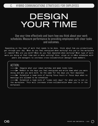### DESIGN YOUR TIME

Use your time effectively and learn how you think about your work schedules. Measure performance by providing employees with clear tasks and outcomes.

Depending on the type of work that needs to be done, think about how you productively get through your day. When do you feel energized when working? Are you in the workplace or remote? Who are you with? When do you feel depleted when working? What type of work were you doing at that time and in what setting? Also, align on in-office schedules with peers and managers to increase cross-collaboration amongst team members.

ACTION:

 $\Rightarrow$  Imagine what your ideal workday and week looks like.

 $\Rightarrow$  Reflect on the days you feel energized and write down what you were doing and who you were with. Do the same for the days you felt depleted.

 $\Rightarrow$  Establish a team norm of having focus hours or focus days when no meetings are allowed to be scheduled.

 $\Rightarrow$  Establish a team norm of "video call days" for when you're not in the workplace. This will increase cross-collaboration when you're in the workplace.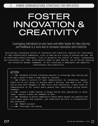### FOSTER INNOVATION & **CREATIVITY**

Leveraging individuals on your team and other teams for idea sharing and feedback is a sure way to increase innovation and creativity.

Cultivating a workplace culture of innovation and creativity requires all individuals to feel authentically themselves, trust in what we are trying to achieve and how. and be comfortable being vulnerable. Trust is earned by the clarity of intent, transparency and consistency over time. Vulnerability leads to idea sharing, out-of-the-box thinking and connection amongst teammates, in turn resulting in meaningful and impactful relationships and productivity.

| ACTION:                                                                        |  |
|--------------------------------------------------------------------------------|--|
| Schedule informal listening sessions to encourage idea sharing and             |  |
| to get a sense of what a team needs to innovate.                               |  |
| $\longrightarrow$ Create a culture of open communication by scheduling regular |  |
| check-ins at all levels to discuss what's working, and what's not. From        |  |
| one-on-ones with managers to office hours with executives, create lines of     |  |
| communication at all levels where people feel comfortable giving honest        |  |
| feedback.                                                                      |  |
| → → Create a SLACK channel or Google Suites Chat specifically to share         |  |
| ideas, industry trends and feedback on work.                                   |  |
| Schedule in-person temperature checks where people can question and            |  |
| interrogate goals and progress, and understand barriers to collaboration       |  |
| and innovation.                                                                |  |
| $\longrightarrow$ Reward success!                                              |  |
| $\longrightarrow$ Encourage risk-taking.                                       |  |
|                                                                                |  |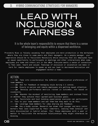### LEAD WITH INCLUSION & FAIRNESS

It is the whole team's responsibility to ensure that there is a sense of belonging and equity within a dispersed workforce.

Proximity Bias is falsely assuming that employees are more productive in the workplace where they are close to some peers and their managers. As a people manager, your imperative should be to facilitate flexibility while ensuring that all employees have an equal opportunity to participate in meetings and other interactions when some employees are home and others are in the office. Everyone wants a sense of connection, to feel seen, heard and valued. Feelings of exclusion or alienation can make it hard for remote employees to speak up and can lead to decreased motivation and engagement within a team.

#### ACTION:

 $\Rightarrow$  Take into consideration the different communication preferences of team members.

 $\Rightarrow$  Ask for feedback on managing style during 1:1 convos.

 $\geq$  Ensure in-person and remote employees are getting equal attention.

 $\Rightarrow$  Develop performance metrics rooted in outcomes, not based on visibility.

 $\Rightarrow$  Abandon the mindset of monitoring team members and instead focus on whether they achieve their agreed-upon business goals.

 $\Rightarrow$  Facilitate and host bonding experiences everyone can participate in. Talk to your team members and ask them how they want to do this.

 $\Rightarrow$  Leverage team members for idea sharing and feedback.

 $\Rightarrow$  Use a buddy system. Research has shown that younger and more junior workers feel less supported by their coworkers, leaving them lonelier and more disconnected in hybrid setups. Pair these employees with a peer or mentor to facilitate the workplace relationships they might otherwise be missing.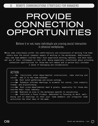### PROVIDE **CONNECTION** OPPORTUNITIES

Believe it or not, many individuals are craving social interaction in physical workplaces.

While some individuals prefer the comfortability and convenience of working from home, others miss the social (people) aspect of working in the workplaces. Additionally, many new team members started their Vice experience working remotely, and have never met any of their colleagues in real life. Being especially intentional about providing connection opportunities for those who are remote and in-person will increase a sense of belonging and collaboration.

| ACTION:                                                                           |
|-----------------------------------------------------------------------------------|
|                                                                                   |
| $\longrightarrow$ Facilitate inter-departmental interactions, idea sharing and    |
| convos - add it to the team calendar.                                             |
| $\longrightarrow$ Host lunch gatherings and social outings.                       |
| $\longrightarrow$ Schedule informal meetings to promote fun convos, like industry |
| trends, and brainstorming.                                                        |
| Host cross-departmental meet & greets, especially for those who                   |
| started their roles remotely.                                                     |
| <b>In the Section</b> Dedicate an area in the workplace specific to socializing.  |
| - - > Institute a Focus Fridays, dedicated to focusing on work, well-             |
| being and no meetings so that your team members can integrate team                |
| activities the other days of the week.                                            |
|                                                                                   |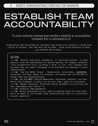### ESTABLISH TEAM ACCOUNTABILITY

To avoid confusion amongst team members, establish an accountability framework that is understood by all.

Establishing team accountability increases team productivity because it establishes clarity of purpose - why they work and for what - helps avoid confusion on goals and expected deliverables.

#### ACTION:

 $\longrightarrow$  Develop team-level agreements, or operating manuals, to make explicit norms and expectations for flexible working. For example, establish "core collaboration hours" by fixing a three- or four- hour timespan each day when they can expect colleagues to be available for meetings or quick communications.

 $\longrightarrow$  Use the RASCI Format - Responsible, Accountable, SUPPORTED, Consulted, Informed. Model for projects, strategies and initiatives to assign roles and responsibilities.

 $\Rightarrow$  Use the SMART (Specific Measurable, Achievable, Relevant, and Time-Bound) Goal Framework to ensure you and your team's goals are attainable.

 $\implies$  Empower ownership. Facilitate mutual agreement on priorities and what team members must deliver on.

 $\Rightarrow$  Establish team agreements.

 $\implies$  Ensure individuals on your team are getting credit for their work. Share an email to the broader team congratulating them on a successful project completion!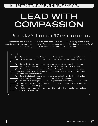### LEAD WITH **COMPASSION**

But seriously, we've all gone through ALOT over the past couple years.

Compassion isn't something you're born with. It's the act of being mindful and considerate of how you treat others. This can be done on an individual and group level by listening and caring about what your team has to offer.

| ACTION:                                                                             |
|-------------------------------------------------------------------------------------|
| $\longrightarrow$ Ask your team what they need. "What is the one thing holding you  |
| up right? What is one thing I could be doing to make your life better this          |
| week?"                                                                              |
| Communicate to your team the importance of setting boundaries.                      |
| $\longrightarrow$ Encourage coffee chats and socialization amongst team members.    |
| Start the week off with a team "Monday Refresh" for a wellness                      |
| check and pep rally. This time can also be used to discuss industry trends,         |
| culture, food and entertainment.                                                    |
| $\longrightarrow$ Give individual team members time to adjust to the hybrid model.  |
| $\longrightarrow$ Integrate social check-ins virtually and in person.               |
| $\longrightarrow$ Do not make assumptions and ask questions when things are unclear |
| $\longrightarrow$ Communicate frequently and clearly, e.g., meeting follow-ups, and |
| provide frequent updates on projects.                                               |
| $\longrightarrow$ Schedule check-ins on how the hybrid schedule is helping          |
| productivity and motivation.                                                        |
|                                                                                     |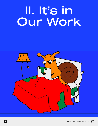## II. It's in Our Work



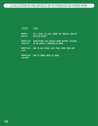#### LINK TOPIC

- DO I HAVE TO TALK ABOUT MY MENTAL HEALTH **WITH MY BOSS?** MENTAL **HEALTH**
- EVERYTHING YOU SHOULD KNOW BEFORE TALKING TO HR ABOUT A PROBLEM AT WORK WORKPLACE **CONFLICT**
- HOW TO USE EVERY LAST PERK FROM YOUR JOB WORKPLACE TIPS
- HOW TO SMOKE WEED AT WORK **WORKPLACE CULTURE**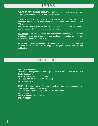#### RESOURCES

FUTURE OF WORK CULTURE INSIGHTS - Culture insights built by your colleagues around hybrid and remote work.

COVID MICROSITE - Helpful information around our COVID-19 policies and more. Please refer to the "Your Office" section for FAQs.

SKILLSHARE HYBRID WORKING CLASSES - Valuable training to support you in easing back into a hybrid workplace.

TEQUITABLE - An independent and confidential sounding board that provides employees impartial and confidential guidance for any workplace issues or concerns.

VMG MENTAL HEALTH RESOURCES - A summary of the various resources available to you at VMG in support of your mental health and wellbeing.

#### IN OFFICE RESOURCES

IN-OFFICE RESOURCES Office Risk Management Plans - protocols & office info (also via Covid Microsite) NY - 49 SOUTH 2ND STREET (S2) LA - 589 VENICE BOULEVARD (Venice) WASHINGTON, D.C. (DC)

ENVOY: Office entry / desk booking, visitor management, deliveries, rooms (app only) ENVOY & VMG | RESERVING A HOT DESK: INFO SHEET VICE Support SERVICE REQUEST CATEGORIES OPEN A TICKET